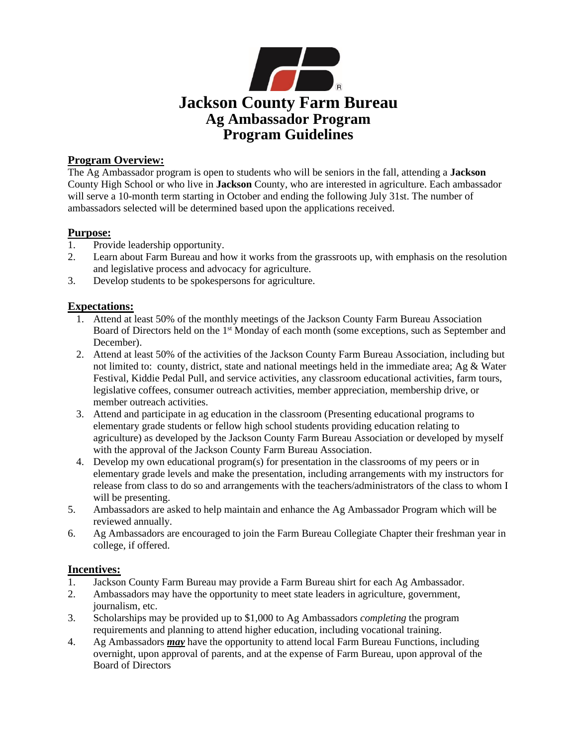

# **Program Overview:**

The Ag Ambassador program is open to students who will be seniors in the fall, attending a **Jackson** County High School or who live in **Jackson** County, who are interested in agriculture. Each ambassador will serve a 10-month term starting in October and ending the following July 31st. The number of ambassadors selected will be determined based upon the applications received.

# **Purpose:**

- 1. Provide leadership opportunity.
- 2. Learn about Farm Bureau and how it works from the grassroots up, with emphasis on the resolution and legislative process and advocacy for agriculture.
- 3. Develop students to be spokespersons for agriculture.

# **Expectations:**

- 1. Attend at least 50% of the monthly meetings of the Jackson County Farm Bureau Association Board of Directors held on the 1st Monday of each month (some exceptions, such as September and December).
- 2. Attend at least 50% of the activities of the Jackson County Farm Bureau Association, including but not limited to: county, district, state and national meetings held in the immediate area; Ag & Water Festival, Kiddie Pedal Pull, and service activities, any classroom educational activities, farm tours, legislative coffees, consumer outreach activities, member appreciation, membership drive, or member outreach activities.
- 3. Attend and participate in ag education in the classroom (Presenting educational programs to elementary grade students or fellow high school students providing education relating to agriculture) as developed by the Jackson County Farm Bureau Association or developed by myself with the approval of the Jackson County Farm Bureau Association.
- 4. Develop my own educational program(s) for presentation in the classrooms of my peers or in elementary grade levels and make the presentation, including arrangements with my instructors for release from class to do so and arrangements with the teachers/administrators of the class to whom I will be presenting.
- 5. Ambassadors are asked to help maintain and enhance the Ag Ambassador Program which will be reviewed annually.
- 6. Ag Ambassadors are encouraged to join the Farm Bureau Collegiate Chapter their freshman year in college, if offered.

## **Incentives:**

- 1. Jackson County Farm Bureau may provide a Farm Bureau shirt for each Ag Ambassador.
- 2. Ambassadors may have the opportunity to meet state leaders in agriculture, government, journalism, etc.
- 3. Scholarships may be provided up to \$1,000 to Ag Ambassadors *completing* the program requirements and planning to attend higher education, including vocational training.
- 4. Ag Ambassadors *may* have the opportunity to attend local Farm Bureau Functions, including overnight, upon approval of parents, and at the expense of Farm Bureau, upon approval of the Board of Directors